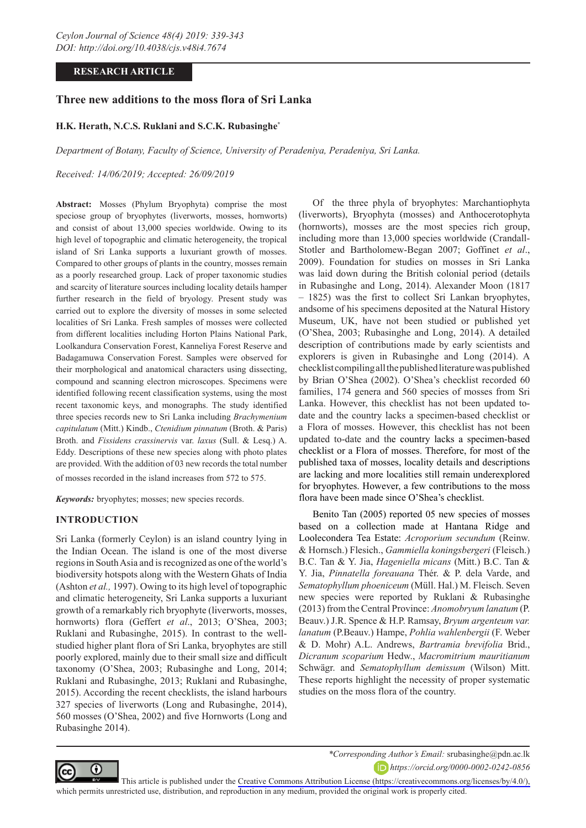# **RESEARCH ARTICLE**

# **Three new additions to the moss flora of Sri Lanka**

## **H.K. Herath, N.C.S. Ruklani and S.C.K. Rubasinghe\***

*Department of Botany, Faculty of Science, University of Peradeniya, Peradeniya, Sri Lanka.*

*Received: 14/06/2019; Accepted: 26/09/2019*

**Abstract:** Mosses (Phylum Bryophyta) comprise the most speciose group of bryophytes (liverworts, mosses, hornworts) and consist of about 13,000 species worldwide. Owing to its high level of topographic and climatic heterogeneity, the tropical island of Sri Lanka supports a luxuriant growth of mosses. Compared to other groups of plants in the country, mosses remain as a poorly researched group. Lack of proper taxonomic studies and scarcity of literature sources including locality details hamper further research in the field of bryology. Present study was carried out to explore the diversity of mosses in some selected localities of Sri Lanka. Fresh samples of mosses were collected from different localities including Horton Plains National Park, Loolkandura Conservation Forest, Kanneliya Forest Reserve and Badagamuwa Conservation Forest. Samples were observed for their morphological and anatomical characters using dissecting, compound and scanning electron microscopes. Specimens were identified following recent classification systems, using the most recent taxonomic keys, and monographs. The study identified three species records new to Sri Lanka including *Brachymenium capitulatum* (Mitt.) Kindb., *Ctenidium pinnatum* (Broth. & Paris) Broth. and *Fissidens crassinervis* var. *laxus* (Sull. & Lesq.) A. Eddy. Descriptions of these new species along with photo plates are provided. With the addition of 03 new records the total number

of mosses recorded in the island increases from 572 to 575.

*Keywords:* bryophytes; mosses; new species records.

## **INTRODUCTION**

Sri Lanka (formerly Ceylon) is an island country lying in the Indian Ocean. The island is one of the most diverse regions in South Asia and is recognized as one of the world's biodiversity hotspots along with the Western Ghats of India (Ashton *et al.,* 1997). Owing to its high level of topographic and climatic heterogeneity, Sri Lanka supports a luxuriant growth of a remarkably rich bryophyte (liverworts, mosses, hornworts) flora (Geffert *et al*., 2013; O'Shea, 2003; Ruklani and Rubasinghe, 2015). In contrast to the wellstudied higher plant flora of Sri Lanka, bryophytes are still poorly explored, mainly due to their small size and difficult taxonomy (O'Shea, 2003; Rubasinghe and Long, 2014; Ruklani and Rubasinghe, 2013; Ruklani and Rubasinghe, 2015). According the recent checklists, the island harbours 327 species of liverworts (Long and Rubasinghe, 2014), 560 mosses (O'Shea, 2002) and five Hornworts (Long and Rubasinghe 2014).

Of the three phyla of bryophytes: Marchantiophyta (liverworts), Bryophyta (mosses) and Anthocerotophyta (hornworts), mosses are the most species rich group, including more than 13,000 species worldwide (Crandall-Stotler and Bartholomew-Began 2007; Goffinet *et al*., 2009). Foundation for studies on mosses in Sri Lanka was laid down during the British colonial period (details in Rubasinghe and Long, 2014). Alexander Moon (1817 – 1825) was the first to collect Sri Lankan bryophytes, andsome of his specimens deposited at the Natural History Museum, UK, have not been studied or published yet (O'Shea, 2003; Rubasinghe and Long, 2014). A detailed description of contributions made by early scientists and explorers is given in Rubasinghe and Long (2014). A checklist compiling all the published literature was published by Brian O'Shea (2002). O'Shea's checklist recorded 60 families, 174 genera and 560 species of mosses from Sri Lanka. However, this checklist has not been updated todate and the country lacks a specimen-based checklist or a Flora of mosses. However, this checklist has not been updated to-date and the country lacks a specimen-based checklist or a Flora of mosses. Therefore, for most of the published taxa of mosses, locality details and descriptions are lacking and more localities still remain underexplored for bryophytes. However, a few contributions to the moss flora have been made since O'Shea's checklist.

Benito Tan (2005) reported 05 new species of mosses based on a collection made at Hantana Ridge and Loolecondera Tea Estate: *Acroporium secundum* (Reinw. & Hornsch.) Flesich., *Gammiella koningsbergeri* (Fleisch.) B.C. Tan & Y. Jia, *Hageniella micans* (Mitt.) B.C. Tan & Y. Jia, *Pinnatella foreauana* Thér. & P. dela Varde, and *Sematophyllum phoeniceum* (Müll. Hal.) M. Fleisch. Seven new species were reported by Ruklani & Rubasinghe (2013) from the Central Province: *Anomobryum lanatum* (P. Beauv.) J.R. Spence & H.P. Ramsay, *Bryum argenteum var. lanatum* (P.Beauv.) Hampe, *Pohlia wahlenbergii* (F. Weber & D. Mohr) A.L. Andrews, *Bartramia brevifolia* Brid., *Dicranum scoparium* Hedw., *Macromitrium mauritianum*  Schwägr. and *Sematophyllum demissum* (Wilson) Mitt. These reports highlight the necessity of proper systematic studies on the moss flora of the country.



*\*Corresponding Author's Email:* srubasinghe@pdn.ac.lk *https://orcid.org/0000-0002-0242-0856*

This article is published under the [Creative Commons Attribution License \(https://creativecommons.org/licenses/by/4.0/\),](https://creativecommons.org/licenses/by/4.0/)  which permits unrestricted use, distribution, and reproduction in any medium, provided the original work is properly cited.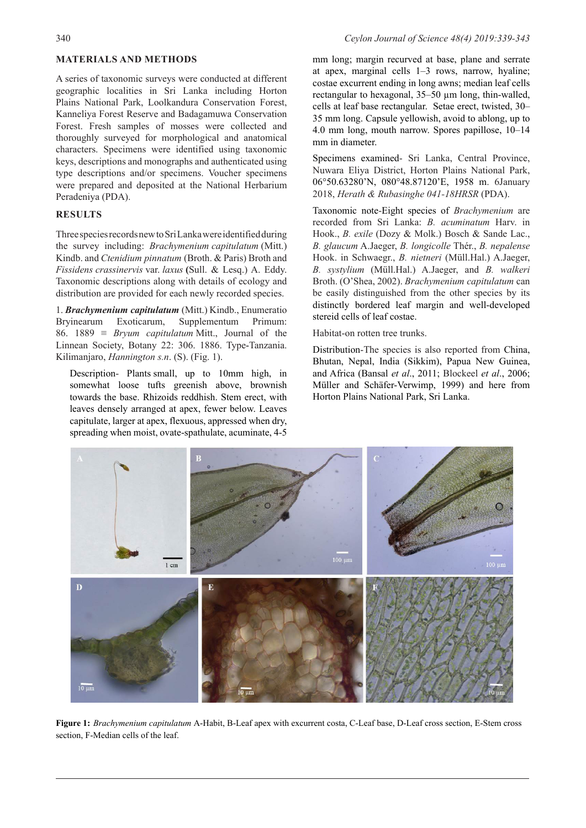# **MATERIALS AND METHODS**

A series of taxonomic surveys were conducted at different geographic localities in Sri Lanka including Horton Plains National Park, Loolkandura Conservation Forest, Kanneliya Forest Reserve and Badagamuwa Conservation Forest. Fresh samples of mosses were collected and thoroughly surveyed for morphological and anatomical characters. Specimens were identified using taxonomic keys, descriptions and monographs and authenticated using type descriptions and/or specimens. Voucher specimens were prepared and deposited at the National Herbarium Peradeniya (PDA).

# **RESULTS**

Three species records new to Sri Lanka were identified during the survey including: *Brachymenium capitulatum* (Mitt.) Kindb. and *Ctenidium pinnatum* (Broth. & Paris) Broth and *Fissidens crassinervis* var. *laxus* **(**Sull. & Lesq.) A. Eddy. Taxonomic descriptions along with details of ecology and distribution are provided for each newly recorded species.

1. *Brachymenium capitulatum* (Mitt.) Kindb., Enumeratio Bryinearum Exoticarum, Supplementum Primum: 86. 1889 ≡ *Bryum capitulatum* Mitt., Journal of the Linnean Society, Botany 22: 306. 1886. Type-Tanzania. Kilimanjaro, *Hannington s.n*. (S). (Fig. 1).

Description- Plants small, up to 10mm high, in somewhat loose tufts greenish above, brownish towards the base. Rhizoids reddhish. Stem erect, with leaves densely arranged at apex, fewer below. Leaves capitulate, larger at apex, flexuous, appressed when dry, spreading when moist, ovate-spathulate, acuminate, 4-5

mm long; margin recurved at base, plane and serrate at apex, marginal cells 1–3 rows, narrow, hyaline; costae excurrent ending in long awns; median leaf cells rectangular to hexagonal, 35–50 µm long, thin-walled, cells at leaf base rectangular. Setae erect, twisted, 30– 35 mm long. Capsule yellowish, avoid to ablong, up to 4.0 mm long, mouth narrow. Spores papillose, 10–14 mm in diameter.

Specimens examined- Sri Lanka, Central Province, Nuwara Eliya District, Horton Plains National Park, 06°50.63280'N, 080°48.87120'E, 1958 m. 6January 2018, *Herath & Rubasinghe 041-18HRSR* (PDA).

Taxonomic note-Eight species of *Brachymenium* are recorded from Sri Lanka: *B. acuminatum* Harv. in Hook., *B. exile* (Dozy & Molk.) Bosch & Sande Lac., *B. glaucum* A.Jaeger, *B. longicolle* Thér., *B. nepalense* Hook. in Schwaegr., *B. nietneri* (Müll.Hal.) A.Jaeger, *B. systylium* (Müll.Hal.) A.Jaeger, and *B. walkeri* Broth. (O'Shea, 2002). *Brachymenium capitulatum* can be easily distinguished from the other species by its distinctly bordered leaf margin and well-developed stereid cells of leaf costae.

Habitat-on rotten tree trunks.

Distribution-The species is also reported from China, Bhutan, Nepal, India (Sikkim), Papua New Guinea, and Africa (Bansal *et al*., 2011; Blockeel *et al*., 2006; Müller and Schäfer-Verwimp, 1999) and here from Horton Plains National Park, Sri Lanka.



**Figure 1:** *Brachymenium capitulatum* A-Habit, B-Leaf apex with excurrent costa, C-Leaf base, D-Leaf cross section, E-Stem cross section, F-Median cells of the leaf.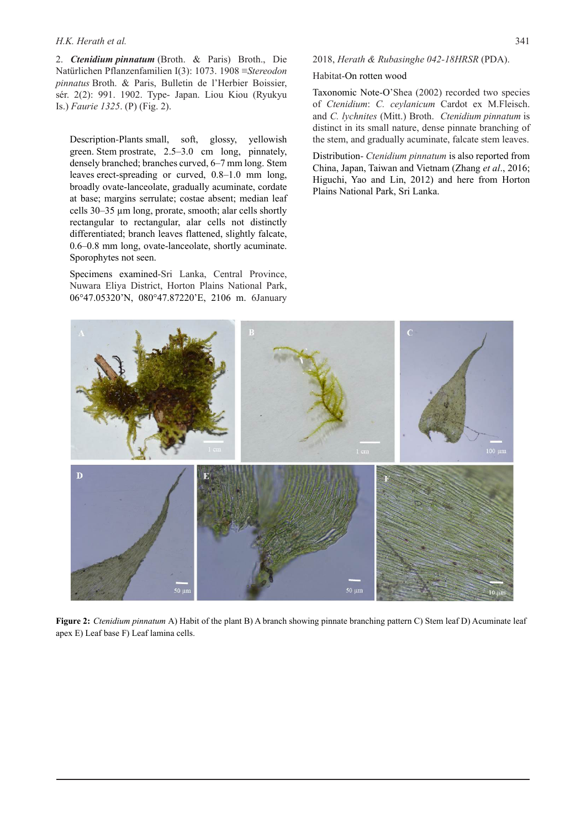#### *H.K. Herath et al.* 341

2. *Ctenidium pinnatum* (Broth. & Paris) Broth., Die Natürlichen Pflanzenfamilien I(3): 1073. 1908 ≡*Stereodon pinnatus* Broth. & Paris, Bulletin de l'Herbier Boissier, sér. 2(2): 991. 1902. Type- Japan. Liou Kiou (Ryukyu Is.) *Faurie 1325*. (P) (Fig. 2).

Description-Plants small, soft, glossy, yellowish green. Stem prostrate, 2.5–3.0 cm long, pinnately, densely branched; branches curved, 6–7 mm long. Stem leaves erect-spreading or curved, 0.8–1.0 mm long, broadly ovate-lanceolate, gradually acuminate, cordate at base; margins serrulate; costae absent; median leaf cells 30–35 µm long, prorate, smooth; alar cells shortly rectangular to rectangular, alar cells not distinctly differentiated; branch leaves flattened, slightly falcate, 0.6–0.8 mm long, ovate-lanceolate, shortly acuminate. Sporophytes not seen.

Specimens examined-Sri Lanka, Central Province, Nuwara Eliya District, Horton Plains National Park, 06°47.05320'N, 080°47.87220'E, 2106 m. 6January

### 2018, *Herath & Rubasinghe 042-18HRSR* (PDA).

#### Habitat-On rotten wood

Taxonomic Note-O'Shea (2002) recorded two species of *Ctenidium*: *C. ceylanicum* Cardot ex M.Fleisch. and *C. lychnites* (Mitt.) Broth. *Ctenidium pinnatum* is distinct in its small nature, dense pinnate branching of the stem, and gradually acuminate, falcate stem leaves.

Distribution- *Ctenidium pinnatum* is also reported from China, Japan, Taiwan and Vietnam (Zhang *et al*., 2016; Higuchi, Yao and Lin, 2012) and here from Horton Plains National Park, Sri Lanka.



**Figure 2:** *Ctenidium pinnatum* A) Habit of the plant B) A branch showing pinnate branching pattern C) Stem leaf D) Acuminate leaf apex E) Leaf base F) Leaf lamina cells.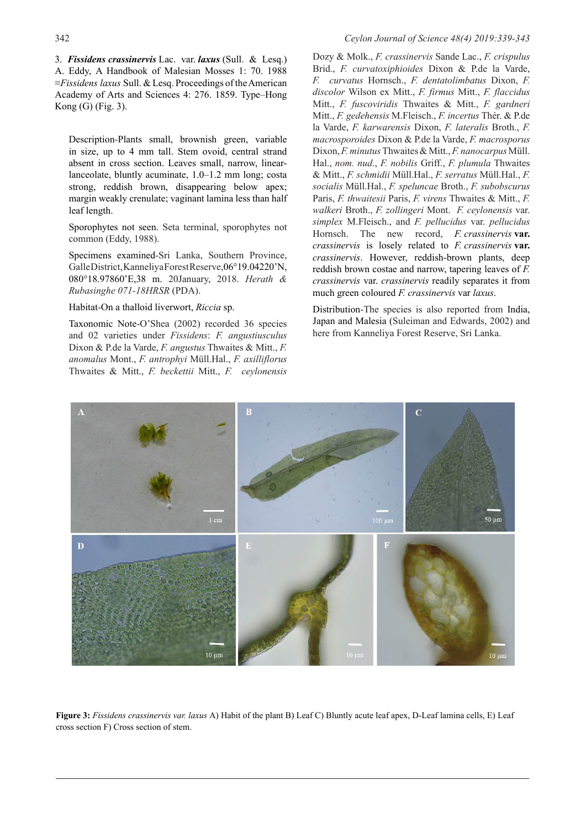3. *Fissidens crassinervis* Lac. var. *laxus* (Sull. & Lesq.) A. Eddy, A Handbook of Malesian Mosses 1: 70. 1988 ≡*Fissidens laxus* Sull. & Lesq. Proceedings of the American Academy of Arts and Sciences 4: 276. 1859. Type–Hong Kong (G) (Fig. 3).

Description-Plants small, brownish green, variable in size, up to 4 mm tall. Stem ovoid, central strand absent in cross section. Leaves small, narrow, linearlanceolate, bluntly acuminate, 1.0–1.2 mm long; costa strong, reddish brown, disappearing below apex; margin weakly crenulate; vaginant lamina less than half leaf length.

Sporophytes not seen. Seta terminal, sporophytes not common (Eddy, 1988).

Specimens examined-Sri Lanka, Southern Province, Galle District, Kanneliya Forest Reserve,06°19.04220'N, 080°18.97860'E,38 m. 20January, 2018. *Herath & Rubasinghe 071-18HRSR* (PDA).

Habitat-On a thalloid liverwort, *Riccia* sp.

Taxonomic Note-O'Shea (2002) recorded 36 species and 02 varieties under *Fissidens*: *F. angustiusculus* Dixon & P.de la Varde, *F. angustus* Thwaites & Mitt., *F. anomalus* Mont., *F. antrophyi* Müll.Hal., *F. axilliflorus* Thwaites & Mitt., *F. beckettii* Mitt., *F. ceylonensis* Dozy & Molk., *F. crassinervis* Sande Lac., *F. crispulus* Brid., *F. curvatoxiphioides* Dixon & P.de la Varde, *F. curvatus* Hornsch., *F. dentatolimbatus* Dixon, *F. discolor* Wilson ex Mitt., *F. firmus* Mitt., *F. flaccidus* Mitt., *F. fuscoviridis* Thwaites & Mitt., *F. gardneri* Mitt., *F. gedehensis* M.Fleisch., *F. incertus* Thér. & P.de la Varde, *F. karwarensis* Dixon, *F. lateralis* Broth., *F. macrosporoides* Dixon & P.de la Varde, *F. macrosporus* Dixon, *F. minutus* Thwaites & Mitt., *F. nanocarpus* Müll. Hal., *nom. nud*., *F. nobilis* Griff., *F. plumula* Thwaites & Mitt., *F. schmidii* Müll.Hal., *F. serratus* Müll.Hal., *F. socialis* Müll.Hal., *F. speluncae* Broth., *F. subobscurus* Paris, *F. thwaitesii* Paris, *F. virens* Thwaites & Mitt., *F. walkeri* Broth., *F. zollingeri* Mont. *F. ceylonensis* var. *simplex* M.Fleisch., and *F. pellucidus* var. *pellucidus* Hornsch. The new record, *F. crassinervis* **var.**  *crassinervis* is losely related to *F. crassinervis* **var.**  *crassinervis*. However, reddish-brown plants, deep reddish brown costae and narrow, tapering leaves of *F. crassinervis* var. *crassinervis* readily separates it from much green coloured *F. crassinervis* var *laxus*.

Distribution-The species is also reported from India, Japan and Malesia (Suleiman and Edwards, 2002) and here from Kanneliya Forest Reserve, Sri Lanka.



**Figure 3:** *Fissidens crassinervis var. laxus* A) Habit of the plant B) Leaf C) Bluntly acute leaf apex, D-Leaf lamina cells, E) Leaf cross section F) Cross section of stem.